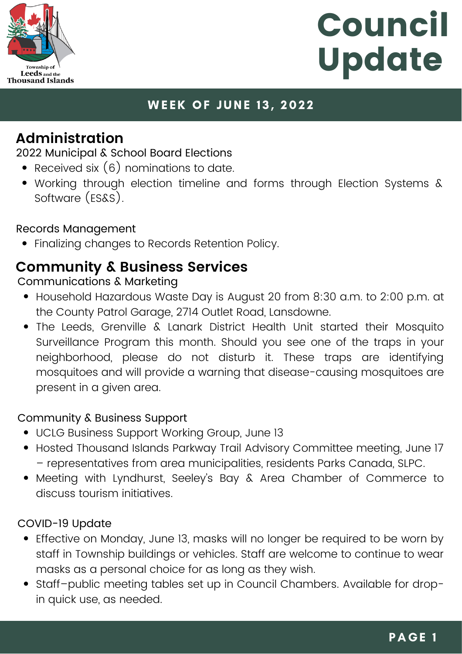

## **WEEK OF JUNE 13, 2022**

## **Administration**

2022 Municipal & School Board Elections

- Received six  $(6)$  nominations to date.
- Working through election timeline and forms through Election Systems & Software (ES&S).

### Records Management

Finalizing changes to Records Retention Policy.

## **Community & Business Services**

### Communications & Marketing

- Household [Hazardous](https://www.leeds1000islands.ca/en/living/Hazardous-Waste.aspx) Waste Day is August 20 from 8:30 a.m. to 2:00 p.m. at the County Patrol Garage, 2714 Outlet Road, Lansdowne.
- The Leeds, [Grenville](https://www.facebook.com/LGLHealthUnit/?__cft__%5b0%5d=AZVhYcXSjEEUySLrrveYgU3qPNfxutOg1oR8WvevdzF-i6BEJ1GRLMjTE3e4azEXqvC_7ZcuJTj5qwaB6Y7WbljytC3kbQHGZiIEW6ulhnXJHYoEiPvnubpjuS1N6hh6x8XN1FNgIgu6keApfUCm0PRP&__tn__=kK-R) & Lanark District Health Unit started their Mosquito Surveillance Program this month. Should you see one of the traps in your neighborhood, please do not disturb it. These traps are identifying mosquitoes and will provide a warning that disease-causing mosquitoes are present in a given area.

### Community & Business Support

- UCLG Business Support Working Group, June 13
- Hosted Thousand Islands Parkway Trail Advisory Committee meeting, June 17 – representatives from area municipalities, residents Parks Canada, SLPC.
- Meeting with Lyndhurst, Seeley's Bay & Area Chamber of Commerce to discuss tourism initiatives.

### COVID-19 Update

- Effective on Monday, June 13, masks will no longer be required to be worn by staff in Township buildings or vehicles. Staff are welcome to continue to wear masks as a personal choice for as long as they wish.
- Staff–public meeting tables set up in Council Chambers. Available for dropin quick use, as needed.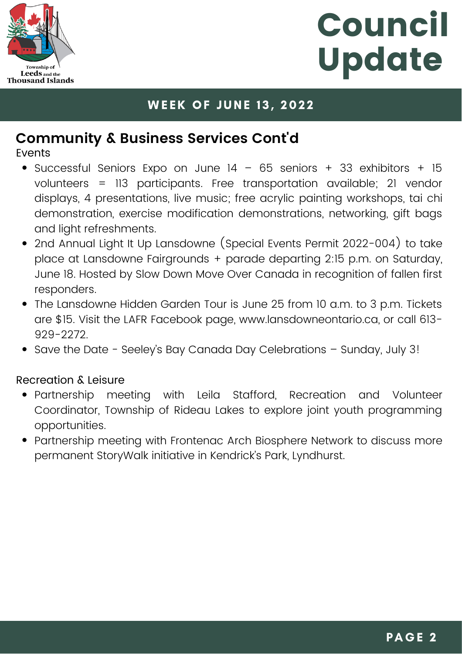

### **WEEK OF JUNE 13, 2022**

# **Community & Business Services Cont'd**

Events

- Successful Seniors Expo on June  $14 65$  seniors + 33 exhibitors + 15 volunteers = 113 participants. Free transportation available; 21 vendor displays, 4 presentations, live music; free acrylic painting workshops, tai chi demonstration, exercise modification demonstrations, networking, gift bags and light refreshments.
- 2nd Annual Light It Up Lansdowne (Special Events Permit 2022-004) to take place at Lansdowne Fairgrounds + parade departing 2:15 p.m. on Saturday, June 18. Hosted by Slow Down Move Over Canada in recognition of fallen first responders.
- The Lansdowne Hidden Garden Tour is June 25 from 10 a.m. to 3 p.m. Tickets are \$15. Visit the LAFR Facebook page, [www.lansdowneontario.ca,](http://www.lansdowneontario.ca/) or call 613- 929-2272.
- Save the Date Seeley's Bay Canada Day Celebrations Sunday, July 3!

### Recreation & Leisure

- Partnership meeting with Leila Stafford, Recreation and Volunteer Coordinator, Township of Rideau Lakes to explore joint youth programming opportunities.
- Partnership meeting with Frontenac Arch Biosphere Network to discuss more permanent StoryWalk initiative in Kendrick's Park, Lyndhurst.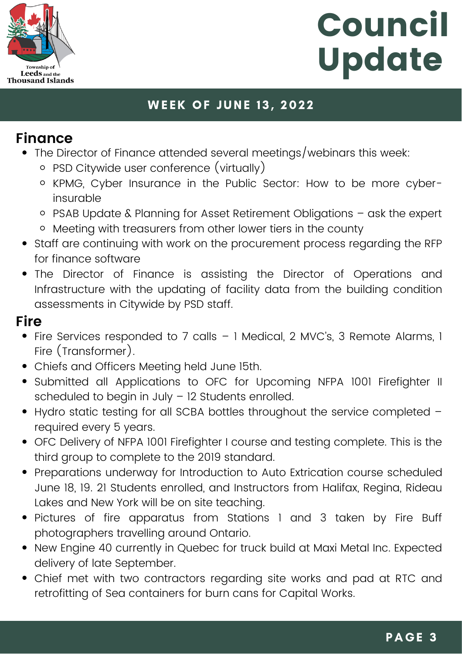

## **WEEK OF JUNE 13, 2022**

## **Finance**

- The Director of Finance attended several meetings/webinars this week:
	- PSD Citywide user conference (virtually)
	- o KPMG, Cyber Insurance in the Public Sector: How to be more cyberinsurable
	- PSAB Update & Planning for Asset Retirement Obligations ask the expert
	- Meeting with treasurers from other lower tiers in the county
- Staff are continuing with work on the procurement process regarding the RFP for finance software
- The Director of Finance is assisting the Director of Operations and Infrastructure with the updating of facility data from the building condition assessments in Citywide by PSD staff.

## **Fire**

- Fire Services responded to 7 calls 1 Medical, 2 MVC's, 3 Remote Alarms, 1 Fire (Transformer).
- Chiefs and Officers Meeting held June 15th.
- Submitted all Applications to OFC for Upcoming NFPA 1001 Firefighter II scheduled to begin in July – 12 Students enrolled.
- Hydro static testing for all SCBA bottles throughout the service completed required every 5 years.
- OFC Delivery of NFPA 1001 Firefighter I course and testing complete. This is the third group to complete to the 2019 standard.
- Preparations underway for Introduction to Auto Extrication course scheduled June 18, 19. 21 Students enrolled, and Instructors from Halifax, Regina, Rideau Lakes and New York will be on site teaching.
- Pictures of fire apparatus from Stations 1 and 3 taken by Fire Buff photographers travelling around Ontario.
- New Engine 40 currently in Quebec for truck build at Maxi Metal Inc. Expected delivery of late September.
- Chief met with two contractors regarding site works and pad at RTC and retrofitting of Sea containers for burn cans for Capital Works.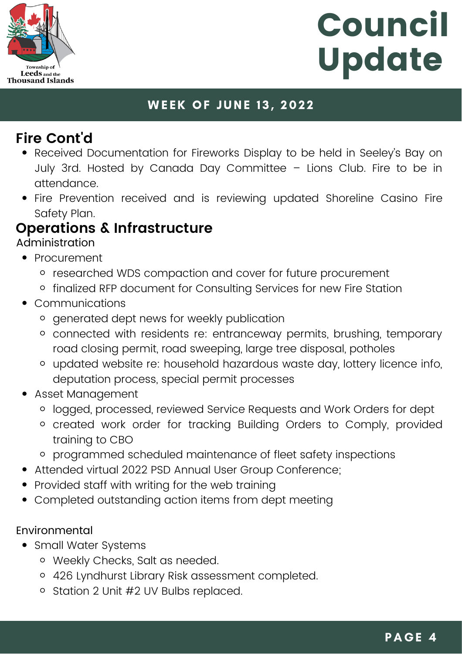

### **WEEK OF JUNE 13, 2022**

# **Fire Cont'd**

- Received Documentation for Fireworks Display to be held in Seeley's Bay on July 3rd. Hosted by Canada Day Committee – Lions Club. Fire to be in attendance.
- Fire Prevention received and is reviewing updated Shoreline Casino Fire Safety Plan.

# **Operations & Infrastructure**

Administration

- Procurement
	- o researched WDS compaction and cover for future procurement
	- o finalized RFP document for Consulting Services for new Fire Station
- Communications
	- o generated dept news for weekly publication
	- connected with residents re: entranceway permits, brushing, temporary road closing permit, road sweeping, large tree disposal, potholes
	- updated website re: household hazardous waste day, lottery licence info, deputation process, special permit processes
- Asset Management
	- logged, processed, reviewed Service Requests and Work Orders for dept
	- created work order for tracking Building Orders to Comply, provided training to CBO
	- programmed scheduled maintenance of fleet safety inspections
- Attended virtual 2022 PSD Annual User Group Conference;
- Provided staff with writing for the web training  $\bullet$
- Completed outstanding action items from dept meeting

### Environmental

- Small Water Systems
	- Weekly Checks, Salt as needed.
	- 426 Lyndhurst Library Risk assessment completed.
	- o Station 2 Unit #2 UV Bulbs replaced.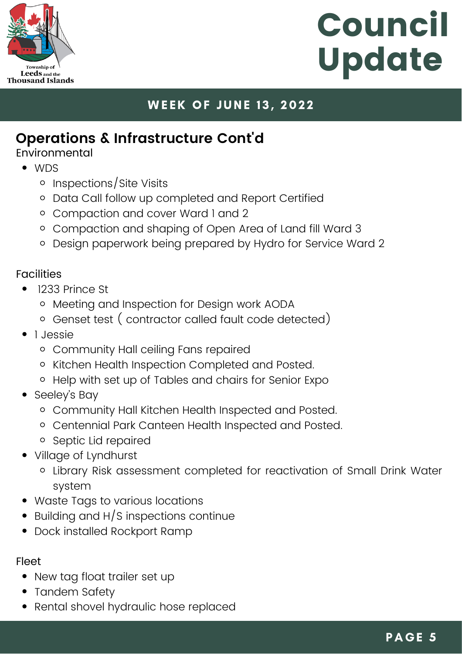

## **WEEK OF JUNE 13, 2022**

## **Operations & Infrastructure Cont'd**

Environmental

- WDS
	- o Inspections/Site Visits
	- o Data Call follow up completed and Report Certified
	- Compaction and cover Ward 1 and 2
	- Compaction and shaping of Open Area of Land fill Ward 3
	- Design paperwork being prepared by Hydro for Service Ward 2

### **Facilities**

- 1233 Prince St
	- o Meeting and Inspection for Design work AODA
	- Genset test ( contractor called fault code detected)
- 1 Jessie
	- Community Hall ceiling Fans repaired
	- o Kitchen Health Inspection Completed and Posted.
	- Help with set up of Tables and chairs for Senior Expo
- Seeley's Bay
	- Community Hall Kitchen Health Inspected and Posted.
	- Centennial Park Canteen Health Inspected and Posted.
	- o Septic Lid repaired
- Village of Lyndhurst
	- Library Risk assessment completed for reactivation of Small Drink Water system
- Waste Tags to various locations
- Building and H/S inspections continue
- Dock installed Rockport Ramp

#### Fleet

- New tag float trailer set up
- Tandem Safety
- Rental shovel hydraulic hose replaced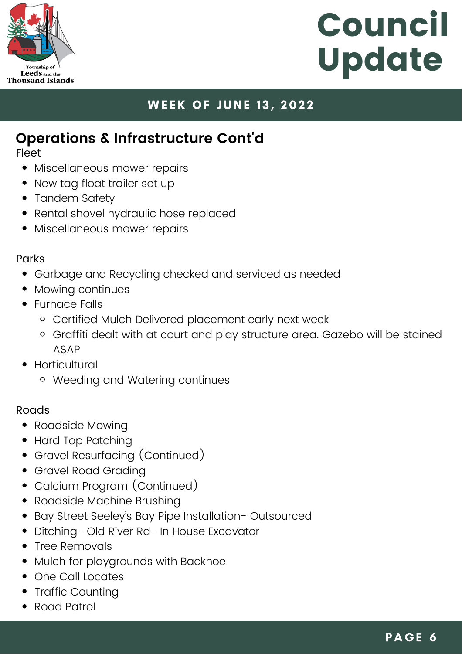

## **WEEK OF JUNE 13, 2022**

# **Operations & Infrastructure Cont'd**

Fleet

- Miscellaneous mower repairs
- New tag float trailer set up
- Tandem Safety
- Rental shovel hydraulic hose replaced
- Miscellaneous mower repairs

#### Parks

- Garbage and Recycling checked and serviced as needed
- Mowing continues
- Furnace Falls
	- Certified Mulch Delivered placement early next week
	- Graffiti dealt with at court and play structure area. Gazebo will be stained ASAP
- **Horticultural** 
	- Weeding and Watering continues

#### **Roads**

- Roadside Mowing
- Hard Top Patching
- Gravel Resurfacing (Continued)
- Gravel Road Grading
- Calcium Program (Continued)
- Roadside Machine Brushing
- Bay Street Seeley's Bay Pipe Installation- Outsourced
- Ditching- Old River Rd- In House Excavator
- Tree Removals
- Mulch for playgrounds with Backhoe
- One Call Locates
- Traffic Counting
- Road Patrol